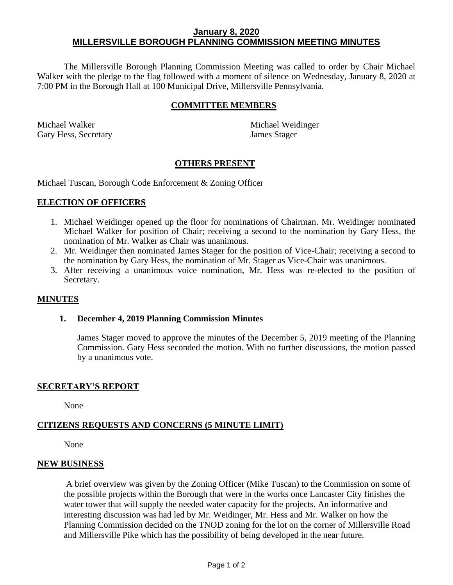## **January 8, 2020 MILLERSVILLE BOROUGH PLANNING COMMISSION MEETING MINUTES**

The Millersville Borough Planning Commission Meeting was called to order by Chair Michael Walker with the pledge to the flag followed with a moment of silence on Wednesday, January 8, 2020 at 7:00 PM in the Borough Hall at 100 Municipal Drive, Millersville Pennsylvania.

## **COMMITTEE MEMBERS**

Michael Walker **Michael Weidinger** Michael Weidinger Gary Hess, Secretary James Stager

### **OTHERS PRESENT**

Michael Tuscan, Borough Code Enforcement & Zoning Officer

### **ELECTION OF OFFICERS**

- 1. Michael Weidinger opened up the floor for nominations of Chairman. Mr. Weidinger nominated Michael Walker for position of Chair; receiving a second to the nomination by Gary Hess, the nomination of Mr. Walker as Chair was unanimous.
- 2. Mr. Weidinger then nominated James Stager for the position of Vice-Chair; receiving a second to the nomination by Gary Hess, the nomination of Mr. Stager as Vice-Chair was unanimous.
- 3. After receiving a unanimous voice nomination, Mr. Hess was re-elected to the position of Secretary.

### **MINUTES**

#### **1. December 4, 2019 Planning Commission Minutes**

James Stager moved to approve the minutes of the December 5, 2019 meeting of the Planning Commission. Gary Hess seconded the motion. With no further discussions, the motion passed by a unanimous vote.

#### **SECRETARY'S REPORT**

None

#### **CITIZENS REQUESTS AND CONCERNS (5 MINUTE LIMIT)**

None

#### **NEW BUSINESS**

A brief overview was given by the Zoning Officer (Mike Tuscan) to the Commission on some of the possible projects within the Borough that were in the works once Lancaster City finishes the water tower that will supply the needed water capacity for the projects. An informative and interesting discussion was had led by Mr. Weidinger, Mr. Hess and Mr. Walker on how the Planning Commission decided on the TNOD zoning for the lot on the corner of Millersville Road and Millersville Pike which has the possibility of being developed in the near future.